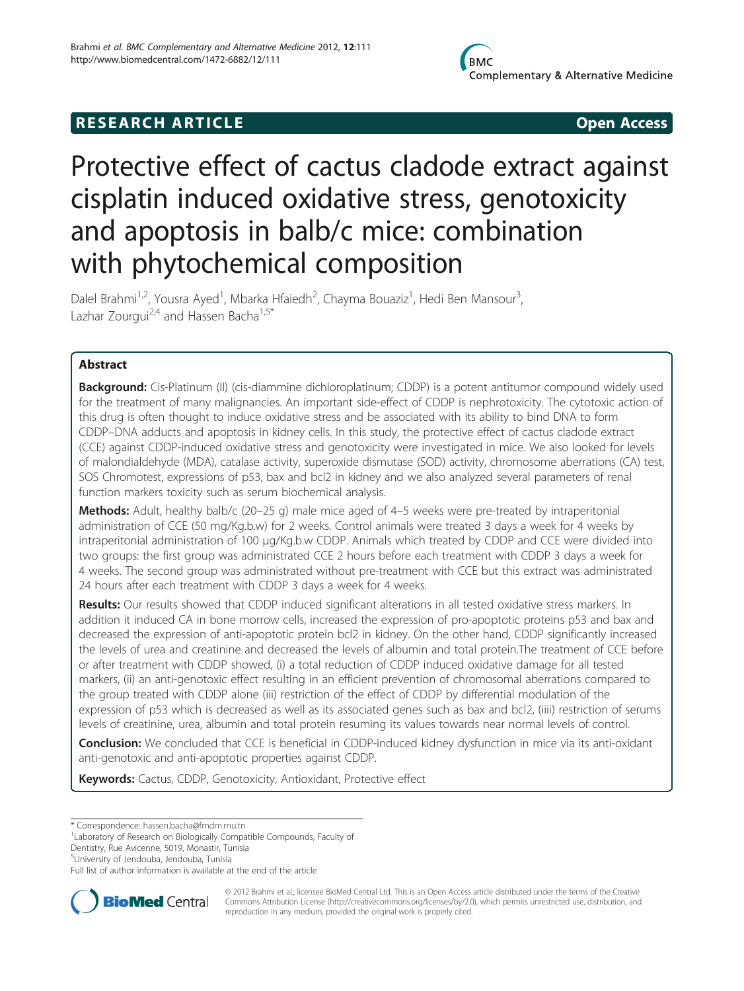# **RESEARCH ARTICLE Example 2014 CONSIDERING CONSIDERING CONSIDERING CONSIDERING CONSIDERING CONSIDERING CONSIDERING CONSIDERING CONSIDERING CONSIDERING CONSIDERING CONSIDERING CONSIDERING CONSIDERING CONSIDERING CONSIDE**

# Protective effect of cactus cladode extract against cisplatin induced oxidative stress, genotoxicity and apoptosis in balb/c mice: combination with phytochemical composition

Dalel Brahmi<sup>1,2</sup>, Yousra Ayed<sup>1</sup>, Mbarka Hfaiedh<sup>2</sup>, Chayma Bouaziz<sup>1</sup>, Hedi Ben Mansour<sup>3</sup> , Lazhar Zourgui<sup>2,4</sup> and Hassen Bacha<sup>1,5\*</sup>

# Abstract

Background: Cis-Platinum (II) (cis-diammine dichloroplatinum; CDDP) is a potent antitumor compound widely used for the treatment of many malignancies. An important side-effect of CDDP is nephrotoxicity. The cytotoxic action of this drug is often thought to induce oxidative stress and be associated with its ability to bind DNA to form CDDP–DNA adducts and apoptosis in kidney cells. In this study, the protective effect of cactus cladode extract (CCE) against CDDP-induced oxidative stress and genotoxicity were investigated in mice. We also looked for levels of malondialdehyde (MDA), catalase activity, superoxide dismutase (SOD) activity, chromosome aberrations (CA) test, SOS Chromotest, expressions of p53, bax and bcl2 in kidney and we also analyzed several parameters of renal function markers toxicity such as serum biochemical analysis.

Methods: Adult, healthy balb/c (20-25 g) male mice aged of 4-5 weeks were pre-treated by intraperitonial administration of CCE (50 mg/Kg.b.w) for 2 weeks. Control animals were treated 3 days a week for 4 weeks by intraperitonial administration of 100 μg/Kg.b.w CDDP. Animals which treated by CDDP and CCE were divided into two groups: the first group was administrated CCE 2 hours before each treatment with CDDP 3 days a week for 4 weeks. The second group was administrated without pre-treatment with CCE but this extract was administrated 24 hours after each treatment with CDDP 3 days a week for 4 weeks.

Results: Our results showed that CDDP induced significant alterations in all tested oxidative stress markers. In addition it induced CA in bone morrow cells, increased the expression of pro-apoptotic proteins p53 and bax and decreased the expression of anti-apoptotic protein bcl2 in kidney. On the other hand, CDDP significantly increased the levels of urea and creatinine and decreased the levels of albumin and total protein.The treatment of CCE before or after treatment with CDDP showed, (i) a total reduction of CDDP induced oxidative damage for all tested markers, (ii) an anti-genotoxic effect resulting in an efficient prevention of chromosomal aberrations compared to the group treated with CDDP alone (iii) restriction of the effect of CDDP by differential modulation of the expression of p53 which is decreased as well as its associated genes such as bax and bcl2, (iiii) restriction of serums levels of creatinine, urea, albumin and total protein resuming its values towards near normal levels of control.

Conclusion: We concluded that CCE is beneficial in CDDP-induced kidney dysfunction in mice via its anti-oxidant anti-genotoxic and anti-apoptotic properties against CDDP.

Keywords: Cactus, CDDP, Genotoxicity, Antioxidant, Protective effect

Dentistry, Rue Avicenne, 5019, Monastir, Tunisia

5 University of Jendouba, Jendouba, Tunisia

Full list of author information is available at the end of the article



© 2012 Brahmi et al.; licensee BioMed Central Ltd. This is an Open Access article distributed under the terms of the Creative Commons Attribution License [\(http://creativecommons.org/licenses/by/2.0\)](http://creativecommons.org/licenses/by/2.0), which permits unrestricted use, distribution, and reproduction in any medium, provided the original work is properly cited.

<sup>\*</sup> Correspondence: [hassen.bacha@fmdm.rnu.tn](mailto:hassen.bacha@fmdm.rnu.tn) <sup>1</sup>

<sup>&</sup>lt;sup>1</sup> Laboratory of Research on Biologically Compatible Compounds, Faculty of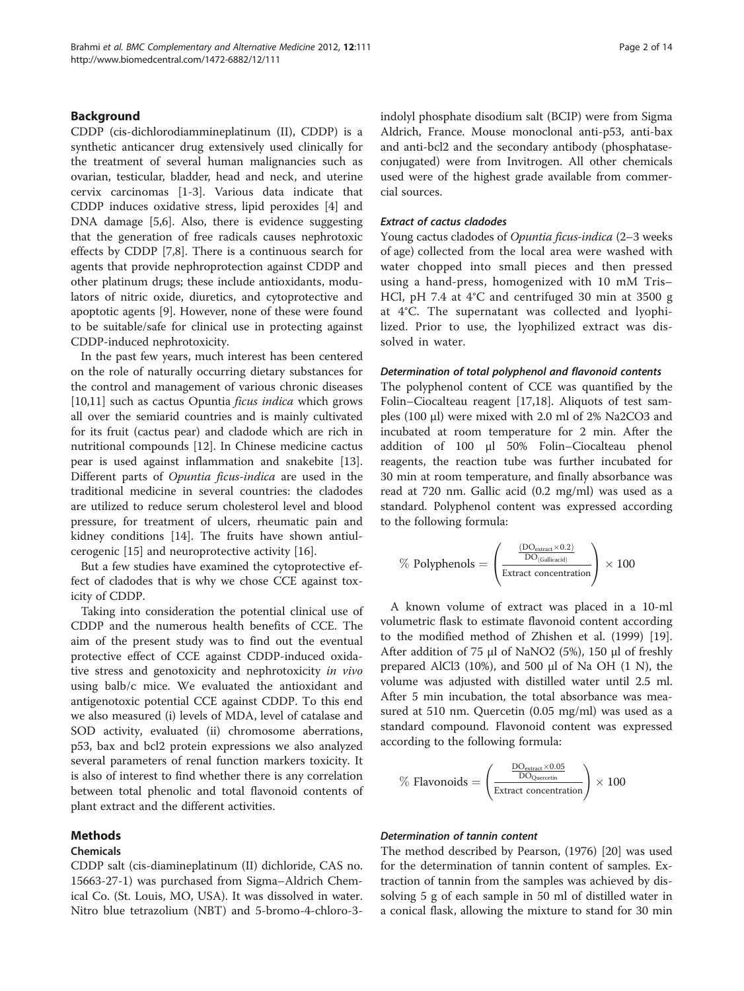# Background

CDDP (cis-dichlorodiammineplatinum (II), CDDP) is a synthetic anticancer drug extensively used clinically for the treatment of several human malignancies such as ovarian, testicular, bladder, head and neck, and uterine cervix carcinomas [[1-3](#page-12-0)]. Various data indicate that CDDP induces oxidative stress, lipid peroxides [[4\]](#page-12-0) and DNA damage [[5,6\]](#page-12-0). Also, there is evidence suggesting that the generation of free radicals causes nephrotoxic effects by CDDP [[7,8\]](#page-12-0). There is a continuous search for agents that provide nephroprotection against CDDP and other platinum drugs; these include antioxidants, modulators of nitric oxide, diuretics, and cytoprotective and apoptotic agents [[9](#page-12-0)]. However, none of these were found to be suitable/safe for clinical use in protecting against CDDP-induced nephrotoxicity.

In the past few years, much interest has been centered on the role of naturally occurring dietary substances for the control and management of various chronic diseases [[10,11\]](#page-12-0) such as cactus Opuntia *ficus indica* which grows all over the semiarid countries and is mainly cultivated for its fruit (cactus pear) and cladode which are rich in nutritional compounds [[12\]](#page-12-0). In Chinese medicine cactus pear is used against inflammation and snakebite [\[13](#page-12-0)]. Different parts of Opuntia ficus-indica are used in the traditional medicine in several countries: the cladodes are utilized to reduce serum cholesterol level and blood pressure, for treatment of ulcers, rheumatic pain and kidney conditions [[14\]](#page-12-0). The fruits have shown antiulcerogenic [[15\]](#page-12-0) and neuroprotective activity [[16](#page-12-0)].

But a few studies have examined the cytoprotective effect of cladodes that is why we chose CCE against toxicity of CDDP.

Taking into consideration the potential clinical use of CDDP and the numerous health benefits of CCE. The aim of the present study was to find out the eventual protective effect of CCE against CDDP-induced oxidative stress and genotoxicity and nephrotoxicity in vivo using balb/c mice. We evaluated the antioxidant and antigenotoxic potential CCE against CDDP. To this end we also measured (i) levels of MDA, level of catalase and SOD activity, evaluated (ii) chromosome aberrations, p53, bax and bcl2 protein expressions we also analyzed several parameters of renal function markers toxicity. It is also of interest to find whether there is any correlation between total phenolic and total flavonoid contents of plant extract and the different activities.

# Methods

#### Chemicals

CDDP salt (cis-diamineplatinum (II) dichloride, CAS no. 15663-27-1) was purchased from Sigma–Aldrich Chemical Co. (St. Louis, MO, USA). It was dissolved in water. Nitro blue tetrazolium (NBT) and 5-bromo-4-chloro-3indolyl phosphate disodium salt (BCIP) were from Sigma Aldrich, France. Mouse monoclonal anti-p53, anti-bax and anti-bcl2 and the secondary antibody (phosphataseconjugated) were from Invitrogen. All other chemicals used were of the highest grade available from commercial sources.

#### Extract of cactus cladodes

Young cactus cladodes of Opuntia ficus-indica (2–3 weeks of age) collected from the local area were washed with water chopped into small pieces and then pressed using a hand-press, homogenized with 10 mM Tris– HCl, pH 7.4 at 4°C and centrifuged 30 min at 3500 g at 4°C. The supernatant was collected and lyophilized. Prior to use, the lyophilized extract was dissolved in water.

#### Determination of total polyphenol and flavonoid contents

The polyphenol content of CCE was quantified by the Folin–Ciocalteau reagent [[17,18](#page-12-0)]. Aliquots of test samples (100 μl) were mixed with 2.0 ml of 2% Na2CO3 and incubated at room temperature for 2 min. After the addition of 100 μl 50% Folin–Ciocalteau phenol reagents, the reaction tube was further incubated for 30 min at room temperature, and finally absorbance was read at 720 nm. Gallic acid (0.2 mg/ml) was used as a standard. Polyphenol content was expressed according to the following formula:

$$
\% \text{ Polyphenols} = \left(\frac{\frac{\text{(DOextract} \times 0.2)}}{\text{DO(Gallicacid)}}}{\text{Extract concentration}}\right) \times 100
$$

A known volume of extract was placed in a 10-ml volumetric flask to estimate flavonoid content according to the modified method of Zhishen et al. (1999) [\[19](#page-12-0)]. After addition of 75 μl of NaNO2 (5%), 150 μl of freshly prepared AlCl3 (10%), and 500 μl of Na OH (1 N), the volume was adjusted with distilled water until 2.5 ml. After 5 min incubation, the total absorbance was measured at 510 nm. Quercetin (0.05 mg/ml) was used as a standard compound. Flavonoid content was expressed according to the following formula:

$$
\% \; \text{Flavonoids} = \left(\frac{\frac{DO_{\text{extract}} \times 0.05}{DO_{\text{Quercetin}}}}{\text{Extract concentration}}\right) \times 100
$$

# Determination of tannin content

The method described by Pearson, (1976) [[20\]](#page-12-0) was used for the determination of tannin content of samples. Extraction of tannin from the samples was achieved by dissolving 5 g of each sample in 50 ml of distilled water in a conical flask, allowing the mixture to stand for 30 min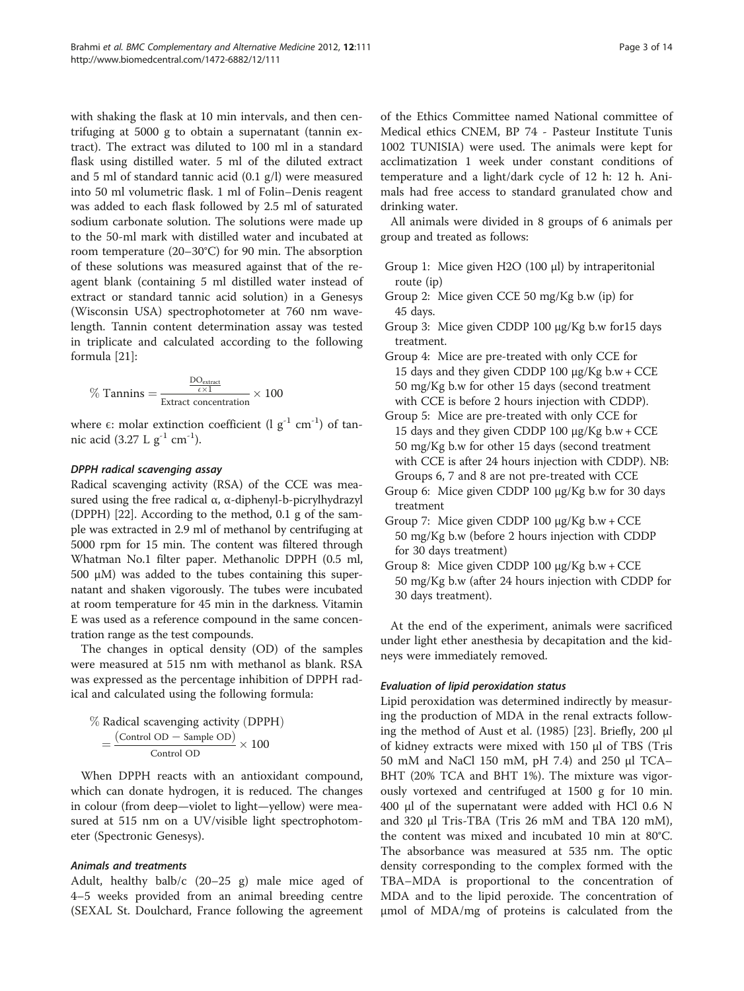with shaking the flask at 10 min intervals, and then centrifuging at 5000 g to obtain a supernatant (tannin extract). The extract was diluted to 100 ml in a standard flask using distilled water. 5 ml of the diluted extract and 5 ml of standard tannic acid (0.1 g/l) were measured into 50 ml volumetric flask. 1 ml of Folin–Denis reagent was added to each flask followed by 2.5 ml of saturated sodium carbonate solution. The solutions were made up to the 50-ml mark with distilled water and incubated at room temperature (20–30°C) for 90 min. The absorption of these solutions was measured against that of the reagent blank (containing 5 ml distilled water instead of extract or standard tannic acid solution) in a Genesys (Wisconsin USA) spectrophotometer at 760 nm wavelength. Tannin content determination assay was tested in triplicate and calculated according to the following formula [[21\]](#page-12-0):

$$
\% \; \text{Tannins} = \frac{\frac{DO_{\text{extract}}}{\epsilon \times 1}}{\text{Extract concentration}} \times 100
$$

where  $\epsilon$ : molar extinction coefficient (l  $g^{-1}$  cm<sup>-1</sup>) of tannic acid (3.27 L  $g^{-1}$  cm<sup>-1</sup>).

# DPPH radical scavenging assay

Radical scavenging activity (RSA) of the CCE was measured using the free radical  $\alpha$ ,  $\alpha$ -diphenyl-b-picrylhydrazyl (DPPH) [[22](#page-12-0)]. According to the method, 0.1 g of the sample was extracted in 2.9 ml of methanol by centrifuging at 5000 rpm for 15 min. The content was filtered through Whatman No.1 filter paper. Methanolic DPPH (0.5 ml, 500 μM) was added to the tubes containing this supernatant and shaken vigorously. The tubes were incubated at room temperature for 45 min in the darkness. Vitamin E was used as a reference compound in the same concentration range as the test compounds.

The changes in optical density (OD) of the samples were measured at 515 nm with methanol as blank. RSA was expressed as the percentage inhibition of DPPH radical and calculated using the following formula:

$$
\% \text{ Radical scavenging activity (DPPH)} = \frac{(\text{Control OD} - \text{Sample OD})}{\text{Control OD}} \times 100
$$

When DPPH reacts with an antioxidant compound, which can donate hydrogen, it is reduced. The changes in colour (from deep—violet to light—yellow) were measured at 515 nm on a UV/visible light spectrophotometer (Spectronic Genesys).

#### Animals and treatments

Adult, healthy balb/c (20–25 g) male mice aged of 4–5 weeks provided from an animal breeding centre (SEXAL St. Doulchard, France following the agreement of the Ethics Committee named National committee of Medical ethics CNEM, BP 74 - Pasteur Institute Tunis 1002 TUNISIA) were used. The animals were kept for acclimatization 1 week under constant conditions of temperature and a light/dark cycle of 12 h: 12 h. Animals had free access to standard granulated chow and drinking water.

All animals were divided in 8 groups of 6 animals per group and treated as follows:

- Group 1: Mice given H2O (100 μl) by intraperitonial route (ip)
- Group 2: Mice given CCE 50 mg/Kg b.w (ip) for 45 days.
- Group 3: Mice given CDDP 100 μg/Kg b.w for15 days treatment.
- Group 4: Mice are pre-treated with only CCE for 15 days and they given CDDP 100  $\mu$ g/Kg b.w + CCE 50 mg/Kg b.w for other 15 days (second treatment with CCE is before 2 hours injection with CDDP).
- Group 5: Mice are pre-treated with only CCE for 15 days and they given CDDP 100 μg/Kg b.w + CCE 50 mg/Kg b.w for other 15 days (second treatment with CCE is after 24 hours injection with CDDP). NB: Groups 6, 7 and 8 are not pre-treated with CCE
- Group 6: Mice given CDDP 100 μg/Kg b.w for 30 days treatment
- Group 7: Mice given CDDP 100 μg/Kg b.w + CCE 50 mg/Kg b.w (before 2 hours injection with CDDP for 30 days treatment)
- Group 8: Mice given CDDP 100 μg/Kg b.w + CCE 50 mg/Kg b.w (after 24 hours injection with CDDP for 30 days treatment).

At the end of the experiment, animals were sacrificed under light ether anesthesia by decapitation and the kidneys were immediately removed.

# Evaluation of lipid peroxidation status

Lipid peroxidation was determined indirectly by measuring the production of MDA in the renal extracts following the method of Aust et al. (1985) [\[23\]](#page-12-0). Briefly, 200 μl of kidney extracts were mixed with 150 μl of TBS (Tris 50 mM and NaCl 150 mM, pH 7.4) and 250 μl TCA– BHT (20% TCA and BHT 1%). The mixture was vigorously vortexed and centrifuged at 1500 g for 10 min. 400 μl of the supernatant were added with HCl 0.6 N and 320 μl Tris-TBA (Tris 26 mM and TBA 120 mM), the content was mixed and incubated 10 min at 80°C. The absorbance was measured at 535 nm. The optic density corresponding to the complex formed with the TBA–MDA is proportional to the concentration of MDA and to the lipid peroxide. The concentration of μmol of MDA/mg of proteins is calculated from the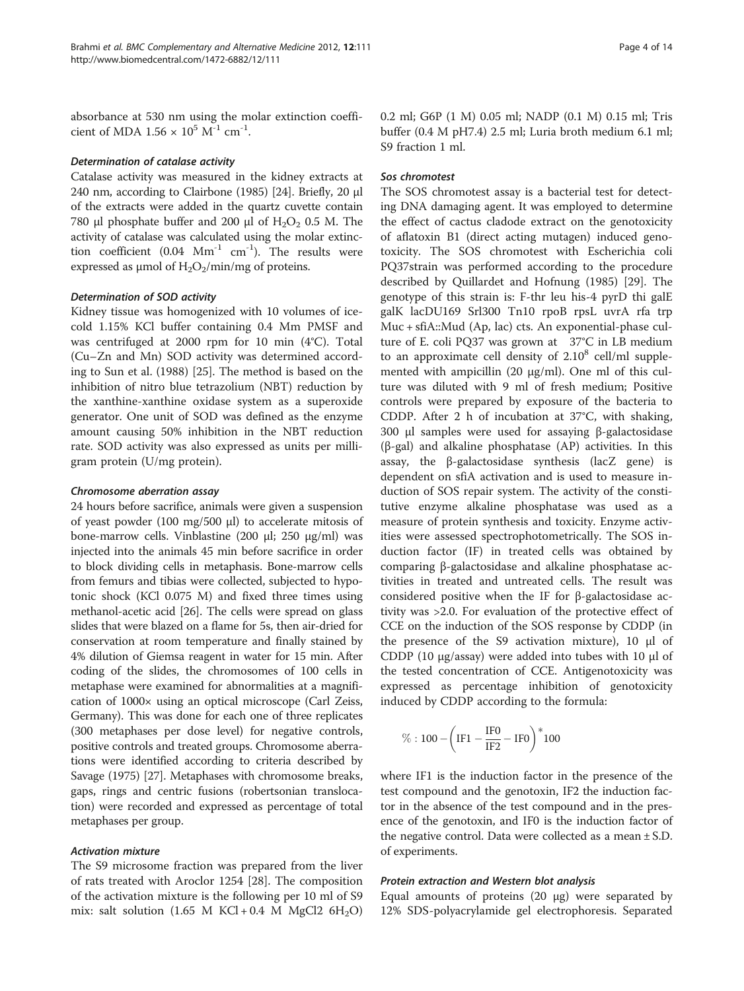absorbance at 530 nm using the molar extinction coefficient of MDA  $1.56 \times 10^5$  M<sup>-1</sup> cm<sup>-1</sup>.

### Determination of catalase activity

Catalase activity was measured in the kidney extracts at 240 nm, according to Clairbone (1985) [[24\]](#page-12-0). Briefly, 20 μl of the extracts were added in the quartz cuvette contain 780 μl phosphate buffer and 200 μl of  $H_2O_2$  0.5 M. The activity of catalase was calculated using the molar extinction coefficient (0.04  $Mm^{-1}$  cm<sup>-1</sup>). The results were expressed as  $\mu$ mol of H<sub>2</sub>O<sub>2</sub>/min/mg of proteins.

#### Determination of SOD activity

Kidney tissue was homogenized with 10 volumes of icecold 1.15% KCl buffer containing 0.4 Mm PMSF and was centrifuged at 2000 rpm for 10 min (4°C). Total (Cu–Zn and Mn) SOD activity was determined according to Sun et al. (1988) [\[25\]](#page-12-0). The method is based on the inhibition of nitro blue tetrazolium (NBT) reduction by the xanthine-xanthine oxidase system as a superoxide generator. One unit of SOD was defined as the enzyme amount causing 50% inhibition in the NBT reduction rate. SOD activity was also expressed as units per milligram protein (U/mg protein).

#### Chromosome aberration assay

24 hours before sacrifice, animals were given a suspension of yeast powder (100 mg/500 μl) to accelerate mitosis of bone-marrow cells. Vinblastine (200 μl; 250 μg/ml) was injected into the animals 45 min before sacrifice in order to block dividing cells in metaphasis. Bone-marrow cells from femurs and tibias were collected, subjected to hypotonic shock (KCl 0.075 M) and fixed three times using methanol-acetic acid [\[26\]](#page-12-0). The cells were spread on glass slides that were blazed on a flame for 5s, then air-dried for conservation at room temperature and finally stained by 4% dilution of Giemsa reagent in water for 15 min. After coding of the slides, the chromosomes of 100 cells in metaphase were examined for abnormalities at a magnification of 1000× using an optical microscope (Carl Zeiss, Germany). This was done for each one of three replicates (300 metaphases per dose level) for negative controls, positive controls and treated groups. Chromosome aberrations were identified according to criteria described by Savage (1975) [\[27\]](#page-12-0). Metaphases with chromosome breaks, gaps, rings and centric fusions (robertsonian translocation) were recorded and expressed as percentage of total metaphases per group.

#### Activation mixture

The S9 microsome fraction was prepared from the liver of rats treated with Aroclor 1254 [\[28](#page-12-0)]. The composition of the activation mixture is the following per 10 ml of S9 mix: salt solution  $(1.65 \text{ M } KCl + 0.4 \text{ M } MgCl2 6H<sub>2</sub>O)$  0.2 ml; G6P (1 M) 0.05 ml; NADP (0.1 M) 0.15 ml; Tris buffer (0.4 M pH7.4) 2.5 ml; Luria broth medium 6.1 ml; S9 fraction 1 ml.

#### Sos chromotest

The SOS chromotest assay is a bacterial test for detecting DNA damaging agent. It was employed to determine the effect of cactus cladode extract on the genotoxicity of aflatoxin B1 (direct acting mutagen) induced genotoxicity. The SOS chromotest with Escherichia coli PQ37strain was performed according to the procedure described by Quillardet and Hofnung (1985) [[29\]](#page-12-0). The genotype of this strain is: F-thr leu his-4 pyrD thi galE galK lacDU169 Srl300 Tn10 rpoB rpsL uvrA rfa trp Muc + sfiA::Mud (Ap, lac) cts. An exponential-phase culture of E. coli PQ37 was grown at 37°C in LB medium to an approximate cell density of  $2.10^8$  cell/ml supplemented with ampicillin (20 μg/ml). One ml of this culture was diluted with 9 ml of fresh medium; Positive controls were prepared by exposure of the bacteria to CDDP. After 2 h of incubation at 37°C, with shaking, 300 μl samples were used for assaying β-galactosidase (β-gal) and alkaline phosphatase (AP) activities. In this assay, the β-galactosidase synthesis (lacZ gene) is dependent on sfiA activation and is used to measure induction of SOS repair system. The activity of the constitutive enzyme alkaline phosphatase was used as a measure of protein synthesis and toxicity. Enzyme activities were assessed spectrophotometrically. The SOS induction factor (IF) in treated cells was obtained by comparing β-galactosidase and alkaline phosphatase activities in treated and untreated cells. The result was considered positive when the IF for β-galactosidase activity was >2.0. For evaluation of the protective effect of CCE on the induction of the SOS response by CDDP (in the presence of the S9 activation mixture), 10 μl of CDDP (10 μg/assay) were added into tubes with 10 μl of the tested concentration of CCE. Antigenotoxicity was expressed as percentage inhibition of genotoxicity induced by CDDP according to the formula:

$$
\%:100-\biggl(\mathrm{IF1}-\frac{\mathrm{IF0}}{\mathrm{IF2}}-\mathrm{IF0}\biggr)^*100
$$

where IF1 is the induction factor in the presence of the test compound and the genotoxin, IF2 the induction factor in the absence of the test compound and in the presence of the genotoxin, and IF0 is the induction factor of the negative control. Data were collected as a mean  $\pm$  S.D. of experiments.

#### Protein extraction and Western blot analysis

Equal amounts of proteins (20 μg) were separated by 12% SDS-polyacrylamide gel electrophoresis. Separated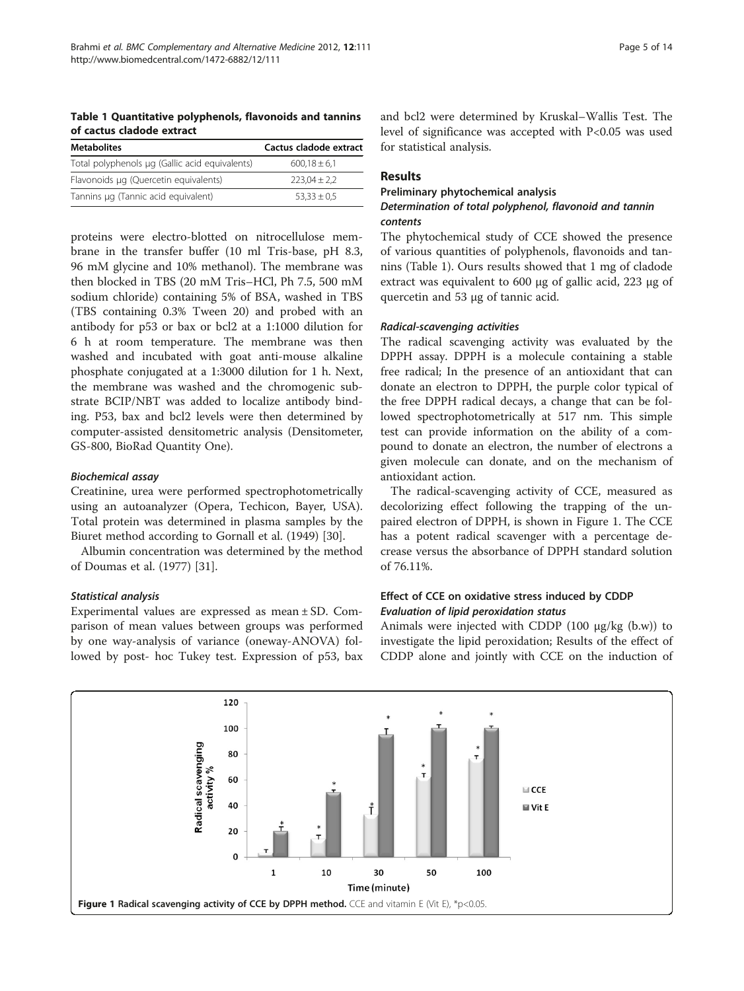<span id="page-4-0"></span>Table 1 Quantitative polyphenols, flavonoids and tannins of cactus cladode extract

| <b>Metabolites</b>                             | Cactus cladode extract |  |  |
|------------------------------------------------|------------------------|--|--|
| Total polyphenols µg (Gallic acid equivalents) | $600.18 \pm 6.1$       |  |  |
| Flavonoids µg (Quercetin equivalents)          | $223.04 \pm 2.2$       |  |  |
| Tannins µg (Tannic acid equivalent)            | $53.33 \pm 0.5$        |  |  |

proteins were electro-blotted on nitrocellulose membrane in the transfer buffer (10 ml Tris-base, pH 8.3, 96 mM glycine and 10% methanol). The membrane was then blocked in TBS (20 mM Tris–HCl, Ph 7.5, 500 mM sodium chloride) containing 5% of BSA, washed in TBS (TBS containing 0.3% Tween 20) and probed with an antibody for p53 or bax or bcl2 at a 1:1000 dilution for 6 h at room temperature. The membrane was then washed and incubated with goat anti-mouse alkaline phosphate conjugated at a 1:3000 dilution for 1 h. Next, the membrane was washed and the chromogenic substrate BCIP/NBT was added to localize antibody binding. P53, bax and bcl2 levels were then determined by computer-assisted densitometric analysis (Densitometer, GS-800, BioRad Quantity One).

#### Biochemical assay

Creatinine, urea were performed spectrophotometrically using an autoanalyzer (Opera, Techicon, Bayer, USA). Total protein was determined in plasma samples by the Biuret method according to Gornall et al. (1949) [[30](#page-12-0)].

Albumin concentration was determined by the method of Doumas et al. (1977) [\[31](#page-12-0)].

#### Statistical analysis

Experimental values are expressed as mean ± SD. Comparison of mean values between groups was performed by one way-analysis of variance (oneway-ANOVA) followed by post- hoc Tukey test. Expression of p53, bax

and bcl2 were determined by Kruskal–Wallis Test. The level of significance was accepted with P<0.05 was used for statistical analysis.

### Results

#### Preliminary phytochemical analysis

# Determination of total polyphenol, flavonoid and tannin contents

The phytochemical study of CCE showed the presence of various quantities of polyphenols, flavonoids and tannins (Table 1). Ours results showed that 1 mg of cladode extract was equivalent to 600 μg of gallic acid, 223 μg of quercetin and 53 μg of tannic acid.

#### Radical-scavenging activities

The radical scavenging activity was evaluated by the DPPH assay. DPPH is a molecule containing a stable free radical; In the presence of an antioxidant that can donate an electron to DPPH, the purple color typical of the free DPPH radical decays, a change that can be followed spectrophotometrically at 517 nm. This simple test can provide information on the ability of a compound to donate an electron, the number of electrons a given molecule can donate, and on the mechanism of antioxidant action.

The radical-scavenging activity of CCE, measured as decolorizing effect following the trapping of the unpaired electron of DPPH, is shown in Figure 1. The CCE has a potent radical scavenger with a percentage decrease versus the absorbance of DPPH standard solution of 76.11%.

# Effect of CCE on oxidative stress induced by CDDP Evaluation of lipid peroxidation status

Animals were injected with CDDP (100 μg/kg (b.w)) to investigate the lipid peroxidation; Results of the effect of CDDP alone and jointly with CCE on the induction of

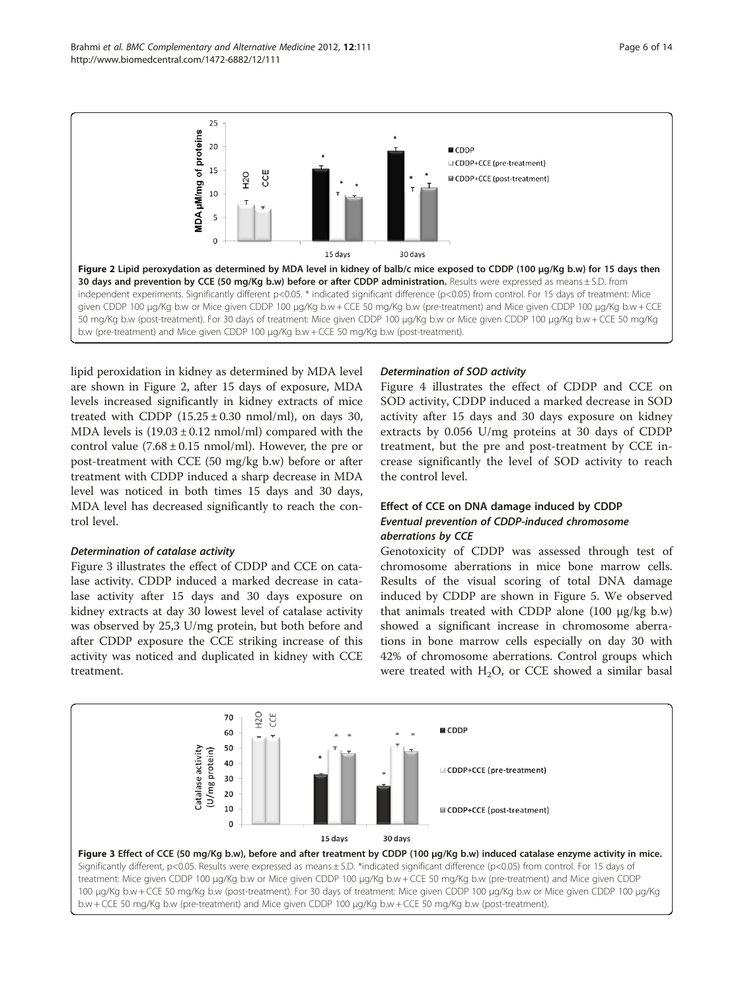lipid peroxidation in kidney as determined by MDA level are shown in Figure 2, after 15 days of exposure, MDA levels increased significantly in kidney extracts of mice treated with CDDP  $(15.25 \pm 0.30 \text{ nmol/ml})$ , on days 30, MDA levels is  $(19.03 \pm 0.12 \text{ nmol/ml})$  compared with the control value  $(7.68 \pm 0.15 \text{ nmol/ml})$ . However, the pre or post-treatment with CCE (50 mg/kg b.w) before or after treatment with CDDP induced a sharp decrease in MDA level was noticed in both times 15 days and 30 days, MDA level has decreased significantly to reach the control level.

#### Determination of catalase activity

Figure 3 illustrates the effect of CDDP and CCE on catalase activity. CDDP induced a marked decrease in catalase activity after 15 days and 30 days exposure on kidney extracts at day 30 lowest level of catalase activity was observed by 25,3 U/mg protein, but both before and after CDDP exposure the CCE striking increase of this activity was noticed and duplicated in kidney with CCE treatment.

# Determination of SOD activity

Figure [4](#page-6-0) illustrates the effect of CDDP and CCE on SOD activity, CDDP induced a marked decrease in SOD activity after 15 days and 30 days exposure on kidney extracts by 0.056 U/mg proteins at 30 days of CDDP treatment, but the pre and post-treatment by CCE increase significantly the level of SOD activity to reach the control level.

# Effect of CCE on DNA damage induced by CDDP Eventual prevention of CDDP-induced chromosome aberrations by CCE

Genotoxicity of CDDP was assessed through test of chromosome aberrations in mice bone marrow cells. Results of the visual scoring of total DNA damage induced by CDDP are shown in Figure [5.](#page-6-0) We observed that animals treated with CDDP alone (100 μg/kg b.w) showed a significant increase in chromosome aberrations in bone marrow cells especially on day 30 with 42% of chromosome aberrations. Control groups which were treated with  $H_2O$ , or CCE showed a similar basal

<span id="page-5-0"></span>

25



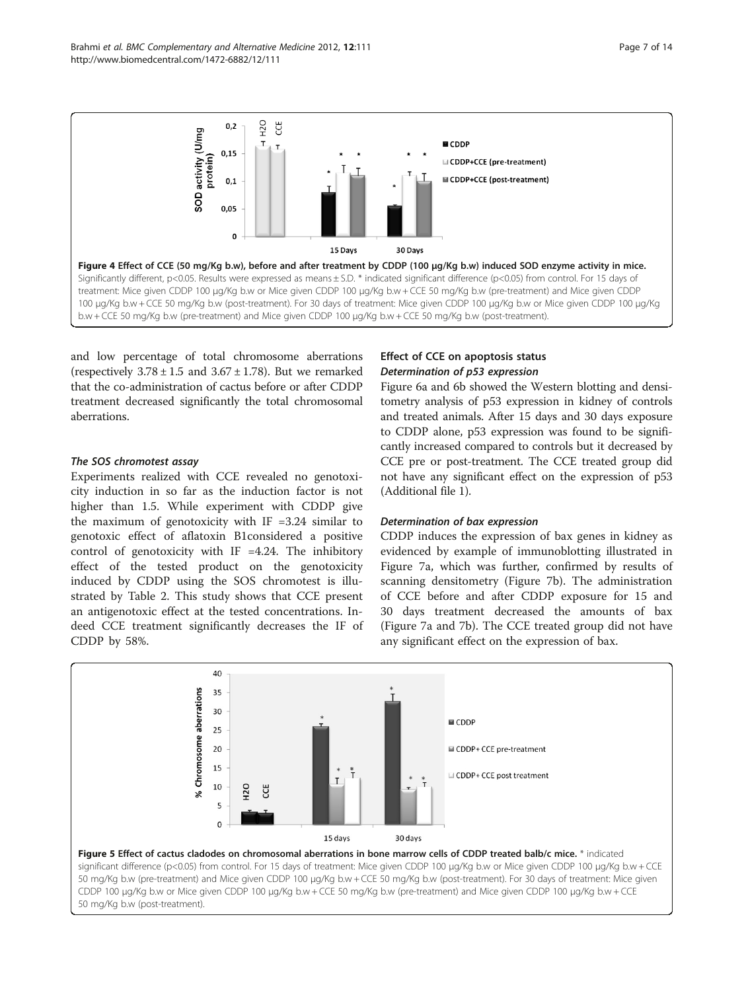<span id="page-6-0"></span>

and low percentage of total chromosome aberrations (respectively  $3.78 \pm 1.5$  and  $3.67 \pm 1.78$ ). But we remarked that the co-administration of cactus before or after CDDP treatment decreased significantly the total chromosomal aberrations.

# The SOS chromotest assay

Experiments realized with CCE revealed no genotoxicity induction in so far as the induction factor is not higher than 1.5. While experiment with CDDP give the maximum of genotoxicity with  $IF = 3.24$  similar to genotoxic effect of aflatoxin B1considered a positive control of genotoxicity with IF  $=4.24$ . The inhibitory effect of the tested product on the genotoxicity induced by CDDP using the SOS chromotest is illustrated by Table [2.](#page-7-0) This study shows that CCE present an antigenotoxic effect at the tested concentrations. Indeed CCE treatment significantly decreases the IF of CDDP by 58%.

# Effect of CCE on apoptosis status Determination of p53 expression

Figure [6a](#page-7-0) and [6b](#page-7-0) showed the Western blotting and densitometry analysis of p53 expression in kidney of controls and treated animals. After 15 days and 30 days exposure to CDDP alone, p53 expression was found to be significantly increased compared to controls but it decreased by CCE pre or post-treatment. The CCE treated group did not have any significant effect on the expression of p53 (Additional file [1](#page-12-0)).

#### Determination of bax expression

CDDP induces the expression of bax genes in kidney as evidenced by example of immunoblotting illustrated in Figure [7a](#page-8-0), which was further, confirmed by results of scanning densitometry (Figure [7b\)](#page-8-0). The administration of CCE before and after CDDP exposure for 15 and 30 days treatment decreased the amounts of bax (Figure [7a](#page-8-0) and [7b\)](#page-8-0). The CCE treated group did not have any significant effect on the expression of bax.

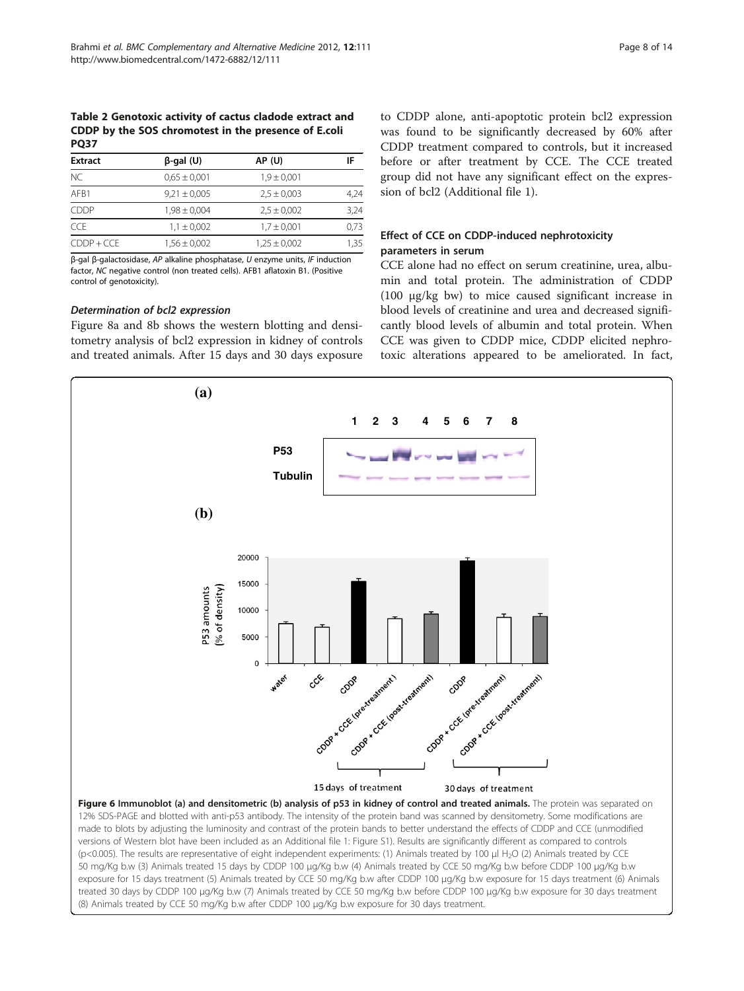<span id="page-7-0"></span>Table 2 Genotoxic activity of cactus cladode extract and CDDP by the SOS chromotest in the presence of E.coli **PO37** 

| <b>Extract</b> | $\beta$ -gal (U) | <b>AP (U)</b>    | IF   |  |  |  |  |
|----------------|------------------|------------------|------|--|--|--|--|
| <b>NC</b>      | $0.65 \pm 0.001$ | $1,9 \pm 0,001$  |      |  |  |  |  |
| AFB1           | $9,21 \pm 0,005$ | $2.5 \pm 0.003$  | 4,24 |  |  |  |  |
| <b>CDDP</b>    | $1,98 \pm 0,004$ | $2.5 \pm 0.002$  | 3,24 |  |  |  |  |
| <b>CCF</b>     | $1.1 \pm 0.002$  | $1,7 \pm 0,001$  | 0,73 |  |  |  |  |
| $CDDP + CCE$   | $1,56 \pm 0,002$ | $1,25 \pm 0,002$ | 1,35 |  |  |  |  |

β-gal β-galactosidase, AP alkaline phosphatase, U enzyme units, IF induction factor, NC negative control (non treated cells). AFB1 aflatoxin B1. (Positive control of genotoxicity).

#### Determination of bcl2 expression

Figure [8a](#page-9-0) and [8b](#page-9-0) shows the western blotting and densitometry analysis of bcl2 expression in kidney of controls and treated animals. After 15 days and 30 days exposure

to CDDP alone, anti-apoptotic protein bcl2 expression was found to be significantly decreased by 60% after CDDP treatment compared to controls, but it increased before or after treatment by CCE. The CCE treated group did not have any significant effect on the expression of bcl2 (Additional file [1](#page-12-0)).

# Effect of CCE on CDDP-induced nephrotoxicity parameters in serum

CCE alone had no effect on serum creatinine, urea, albumin and total protein. The administration of CDDP (100 μg/kg bw) to mice caused significant increase in blood levels of creatinine and urea and decreased significantly blood levels of albumin and total protein. When CCE was given to CDDP mice, CDDP elicited nephrotoxic alterations appeared to be ameliorated. In fact,

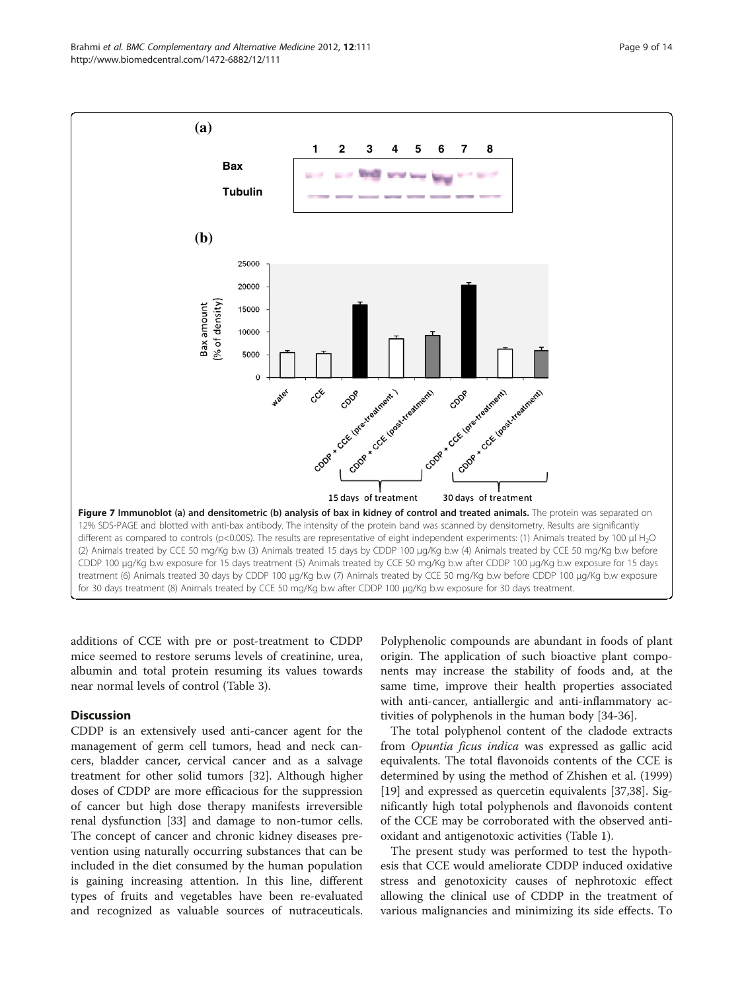additions of CCE with pre or post-treatment to CDDP mice seemed to restore serums levels of creatinine, urea, albumin and total protein resuming its values towards

near normal levels of control (Table [3\)](#page-10-0).

#### **Discussion**

CDDP is an extensively used anti-cancer agent for the management of germ cell tumors, head and neck cancers, bladder cancer, cervical cancer and as a salvage treatment for other solid tumors [[32](#page-12-0)]. Although higher doses of CDDP are more efficacious for the suppression of cancer but high dose therapy manifests irreversible renal dysfunction [[33](#page-12-0)] and damage to non-tumor cells. The concept of cancer and chronic kidney diseases prevention using naturally occurring substances that can be included in the diet consumed by the human population is gaining increasing attention. In this line, different types of fruits and vegetables have been re-evaluated and recognized as valuable sources of nutraceuticals.

Polyphenolic compounds are abundant in foods of plant origin. The application of such bioactive plant components may increase the stability of foods and, at the same time, improve their health properties associated with anti-cancer, antiallergic and anti-inflammatory activities of polyphenols in the human body [[34](#page-12-0)-[36\]](#page-13-0).

The total polyphenol content of the cladode extracts from Opuntia ficus indica was expressed as gallic acid equivalents. The total flavonoids contents of the CCE is determined by using the method of Zhishen et al. (1999) [[19\]](#page-12-0) and expressed as quercetin equivalents [\[37,38\]](#page-13-0). Significantly high total polyphenols and flavonoids content of the CCE may be corroborated with the observed antioxidant and antigenotoxic activities (Table [1](#page-4-0)).

The present study was performed to test the hypothesis that CCE would ameliorate CDDP induced oxidative stress and genotoxicity causes of nephrotoxic effect allowing the clinical use of CDDP in the treatment of various malignancies and minimizing its side effects. To

<span id="page-8-0"></span>

**(a)**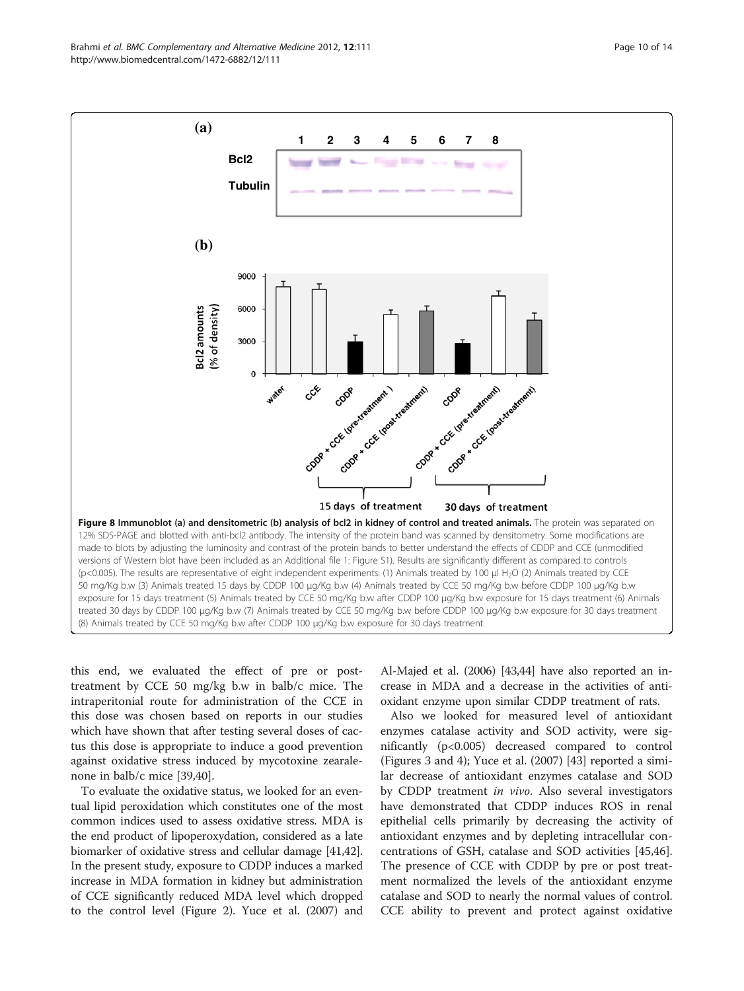<span id="page-9-0"></span>Brahmi et al. BMC Complementary and Alternative Medicine 2012, 12:111 Page 10 of 14 http://www.biomedcentral.com/1472-6882/12/111



this end, we evaluated the effect of pre or posttreatment by CCE 50 mg/kg b.w in balb/c mice. The intraperitonial route for administration of the CCE in this dose was chosen based on reports in our studies which have shown that after testing several doses of cactus this dose is appropriate to induce a good prevention against oxidative stress induced by mycotoxine zearalenone in balb/c mice [[39](#page-13-0),[40](#page-13-0)].

To evaluate the oxidative status, we looked for an eventual lipid peroxidation which constitutes one of the most common indices used to assess oxidative stress. MDA is the end product of lipoperoxydation, considered as a late biomarker of oxidative stress and cellular damage [\[41,42](#page-13-0)]. In the present study, exposure to CDDP induces a marked increase in MDA formation in kidney but administration of CCE significantly reduced MDA level which dropped to the control level (Figure [2](#page-5-0)). Yuce et al. (2007) and Al-Majed et al. (2006) [\[43,44\]](#page-13-0) have also reported an increase in MDA and a decrease in the activities of antioxidant enzyme upon similar CDDP treatment of rats.

Also we looked for measured level of antioxidant enzymes catalase activity and SOD activity, were significantly (p<0.005) decreased compared to control (Figures [3](#page-5-0) and [4\)](#page-6-0); Yuce et al. (2007) [[43\]](#page-13-0) reported a similar decrease of antioxidant enzymes catalase and SOD by CDDP treatment in vivo. Also several investigators have demonstrated that CDDP induces ROS in renal epithelial cells primarily by decreasing the activity of antioxidant enzymes and by depleting intracellular concentrations of GSH, catalase and SOD activities [\[45,46](#page-13-0)]. The presence of CCE with CDDP by pre or post treatment normalized the levels of the antioxidant enzyme catalase and SOD to nearly the normal values of control. CCE ability to prevent and protect against oxidative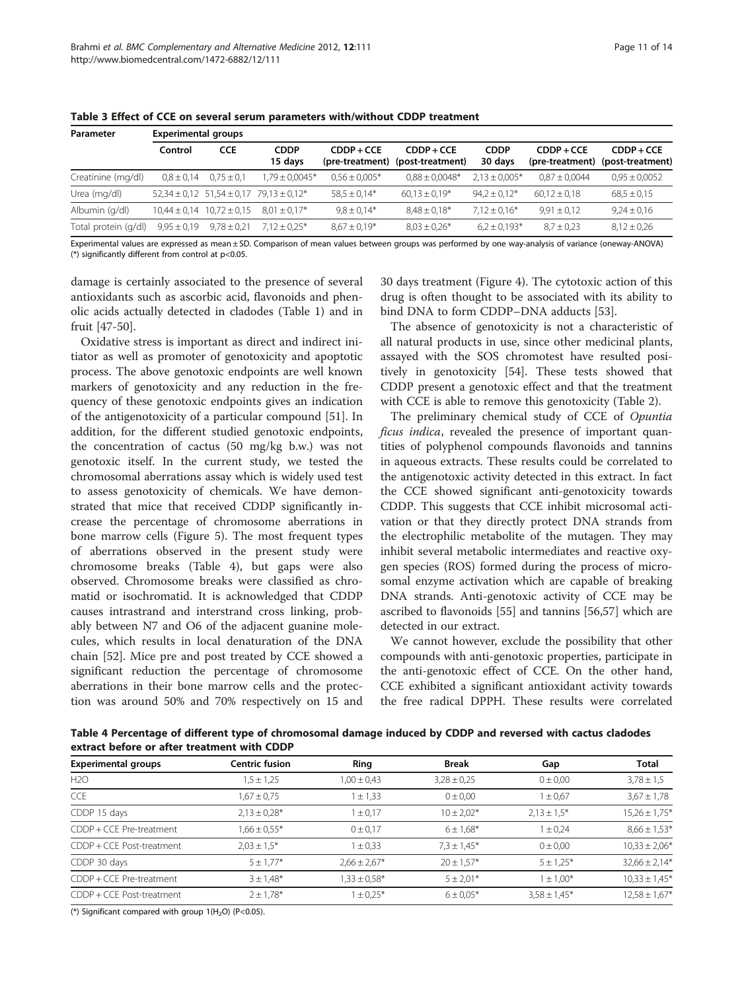| Parameter            | <b>Experimental groups</b> |                                   |                                                      |                                 |                                  |                        |                                 |                                  |
|----------------------|----------------------------|-----------------------------------|------------------------------------------------------|---------------------------------|----------------------------------|------------------------|---------------------------------|----------------------------------|
|                      | Control                    | <b>CCE</b>                        | <b>CDDP</b><br>15 days                               | $CDDP + CCE$<br>(pre-treatment) | $CDDP + CCE$<br>(post-treatment) | <b>CDDP</b><br>30 days | $CDDP + CCE$<br>(pre-treatment) | $CDDP + CCE$<br>(post-treatment) |
| Creatinine (mg/dl)   | $0.8 \pm 0.14$             | $0.75 \pm 0.1$                    | $1.79 \pm 0.0045*$                                   | $0.56 \pm 0.005*$               | $0.88 \pm 0.0048*$               | $2.13 \pm 0.005*$      | $0.87 \pm 0.0044$               | $0.95 \pm 0.0052$                |
| Urea (mg/dl)         |                            |                                   | $52,34 \pm 0.12$ $51,54 \pm 0.17$ $79,13 \pm 0.12$ * | $58.5 \pm 0.14*$                | $60,13 \pm 0,19*$                | $94.2 \pm 0.12^*$      | $60.12 \pm 0.18$                | $68.5 \pm 0.15$                  |
| Albumin (g/dl)       |                            | $10,44 \pm 0.14$ $10,72 \pm 0.15$ | $8.01 \pm 0.17$ *                                    | $9.8 \pm 0.14*$                 | $8.48 \pm 0.18*$                 | $7.12 \pm 0.16*$       | $9.91 \pm 0.12$                 | $9,24 \pm 0,16$                  |
| Total protein (g/dl) | $9.95 \pm 0.19$            | $9.78 \pm 0.21$                   | $7.12 \pm 0.25$ *                                    | $8,67 \pm 0,19*$                | $8,03 \pm 0,26*$                 | $6.2 \pm 0.193*$       | $8.7 \pm 0.23$                  | $8,12 \pm 0.26$                  |

<span id="page-10-0"></span>Table 3 Effect of CCE on several serum parameters with/without CDDP treatment

Experimental values are expressed as mean ± SD. Comparison of mean values between groups was performed by one way-analysis of variance (oneway-ANOVA)  $(*)$  significantly different from control at  $p<0.05$ .

damage is certainly associated to the presence of several antioxidants such as ascorbic acid, flavonoids and phenolic acids actually detected in cladodes (Table [1\)](#page-4-0) and in fruit [\[47](#page-13-0)-[50\]](#page-13-0).

Oxidative stress is important as direct and indirect initiator as well as promoter of genotoxicity and apoptotic process. The above genotoxic endpoints are well known markers of genotoxicity and any reduction in the frequency of these genotoxic endpoints gives an indication of the antigenotoxicity of a particular compound [[51](#page-13-0)]. In addition, for the different studied genotoxic endpoints, the concentration of cactus (50 mg/kg b.w.) was not genotoxic itself. In the current study, we tested the chromosomal aberrations assay which is widely used test to assess genotoxicity of chemicals. We have demonstrated that mice that received CDDP significantly increase the percentage of chromosome aberrations in bone marrow cells (Figure [5\)](#page-6-0). The most frequent types of aberrations observed in the present study were chromosome breaks (Table 4), but gaps were also observed. Chromosome breaks were classified as chromatid or isochromatid. It is acknowledged that CDDP causes intrastrand and interstrand cross linking, probably between N7 and O6 of the adjacent guanine molecules, which results in local denaturation of the DNA chain [\[52](#page-13-0)]. Mice pre and post treated by CCE showed a significant reduction the percentage of chromosome aberrations in their bone marrow cells and the protection was around 50% and 70% respectively on 15 and 30 days treatment (Figure [4\)](#page-6-0). The cytotoxic action of this drug is often thought to be associated with its ability to bind DNA to form CDDP–DNA adducts [\[53\]](#page-13-0).

The absence of genotoxicity is not a characteristic of all natural products in use, since other medicinal plants, assayed with the SOS chromotest have resulted positively in genotoxicity [\[54](#page-13-0)]. These tests showed that CDDP present a genotoxic effect and that the treatment with CCE is able to remove this genotoxicity (Table [2](#page-7-0)).

The preliminary chemical study of CCE of Opuntia ficus indica, revealed the presence of important quantities of polyphenol compounds flavonoids and tannins in aqueous extracts. These results could be correlated to the antigenotoxic activity detected in this extract. In fact the CCE showed significant anti-genotoxicity towards CDDP. This suggests that CCE inhibit microsomal activation or that they directly protect DNA strands from the electrophilic metabolite of the mutagen. They may inhibit several metabolic intermediates and reactive oxygen species (ROS) formed during the process of microsomal enzyme activation which are capable of breaking DNA strands. Anti-genotoxic activity of CCE may be ascribed to flavonoids [\[55](#page-13-0)] and tannins [[56,57](#page-13-0)] which are detected in our extract.

We cannot however, exclude the possibility that other compounds with anti-genotoxic properties, participate in the anti-genotoxic effect of CCE. On the other hand, CCE exhibited a significant antioxidant activity towards the free radical DPPH. These results were correlated

Table 4 Percentage of different type of chromosomal damage induced by CDDP and reversed with cactus cladodes extract before or after treatment with CDDP

| <b>Experimental groups</b>  | <b>Centric fusion</b> | Ring             | <b>Break</b>    | Gap              | <b>Total</b>      |
|-----------------------------|-----------------------|------------------|-----------------|------------------|-------------------|
| H2O                         | $1.5 \pm 1.25$        | $1,00 \pm 0,43$  | $3,28 \pm 0.25$ | $0 \pm 0.00$     | $3,78 \pm 1,5$    |
| <b>CCE</b>                  | $1,67 \pm 0.75$       | $1 \pm 1,33$     | 0 ± 0.00        | $1 \pm 0.67$     | $3,67 \pm 1,78$   |
| CDDP 15 days                | $2.13 \pm 0.28$ *     | $1 \pm 0.17$     | $10 \pm 2.02*$  | $2.13 \pm 1.5*$  | $15,26 \pm 1,75*$ |
| CDDP + CCE Pre-treatment    | $1,66 \pm 0.55*$      | $0 \pm 0.17$     | $6 \pm 1.68*$   | $1 \pm 0.24$     | $8,66 \pm 1,53*$  |
| CDDP + CCE Post-treatment   | $2,03 \pm 1.5$ *      | $1 \pm 0.33$     | $7.3 \pm 1.45*$ | $0 \pm 0.00$     | $10,33 \pm 2,06*$ |
| CDDP 30 days                | $5 \pm 1.77*$         | $2,66 \pm 2,67*$ | $20 \pm 1.57*$  | $5 \pm 1.25*$    | $32,66 \pm 2,14*$ |
| CDDP + CCE Pre-treatment    | $3 \pm 1.48*$         | $1,33 \pm 0.58*$ | $5 \pm 2.01*$   | $1 \pm 1,00^*$   | $10,33 \pm 1,45*$ |
| $CDDP + CCF$ Post-treatment | $2 \pm 1.78$ *        | $1 \pm 0.25*$    | $6 \pm 0.05*$   | $3.58 \pm 1.45*$ | $12,58 \pm 1,67*$ |

(\*) Significant compared with group  $1(H<sub>2</sub>O)$  (P<0.05).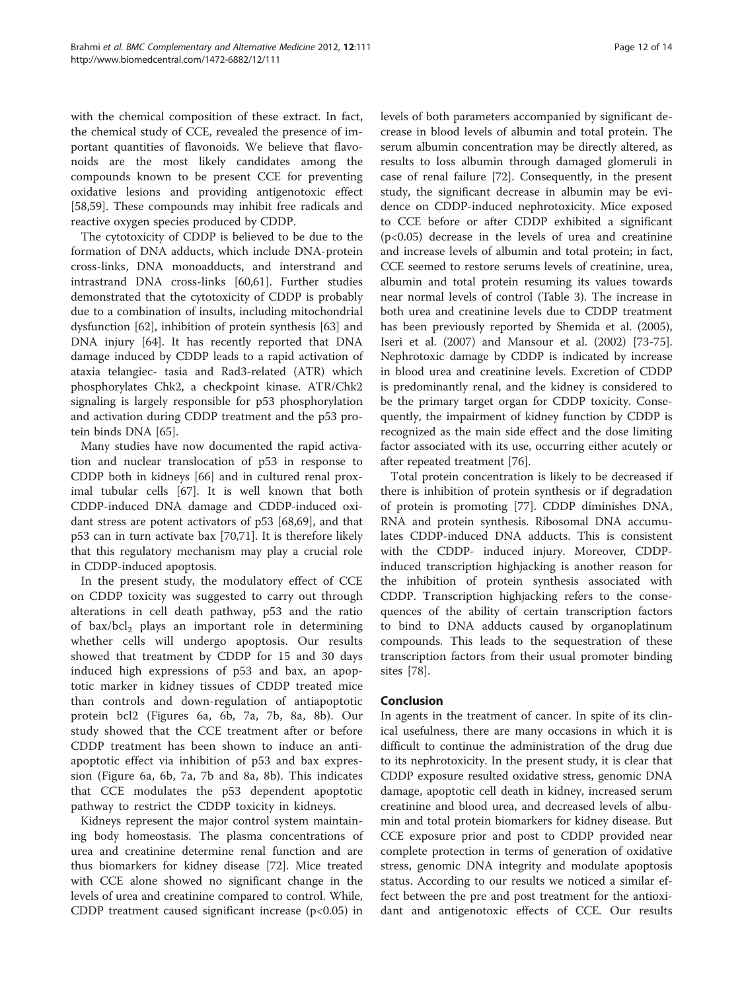with the chemical composition of these extract. In fact, the chemical study of CCE, revealed the presence of important quantities of flavonoids. We believe that flavonoids are the most likely candidates among the compounds known to be present CCE for preventing oxidative lesions and providing antigenotoxic effect [[58,59\]](#page-13-0). These compounds may inhibit free radicals and reactive oxygen species produced by CDDP.

The cytotoxicity of CDDP is believed to be due to the formation of DNA adducts, which include DNA-protein cross-links, DNA monoadducts, and interstrand and intrastrand DNA cross-links [[60,61\]](#page-13-0). Further studies demonstrated that the cytotoxicity of CDDP is probably due to a combination of insults, including mitochondrial dysfunction [[62\]](#page-13-0), inhibition of protein synthesis [\[63](#page-13-0)] and DNA injury [[64](#page-13-0)]. It has recently reported that DNA damage induced by CDDP leads to a rapid activation of ataxia telangiec- tasia and Rad3-related (ATR) which phosphorylates Chk2, a checkpoint kinase. ATR/Chk2 signaling is largely responsible for p53 phosphorylation and activation during CDDP treatment and the p53 protein binds DNA [[65\]](#page-13-0).

Many studies have now documented the rapid activation and nuclear translocation of p53 in response to CDDP both in kidneys [[66\]](#page-13-0) and in cultured renal proximal tubular cells [[67](#page-13-0)]. It is well known that both CDDP-induced DNA damage and CDDP-induced oxidant stress are potent activators of p53 [[68](#page-13-0),[69](#page-13-0)], and that p53 can in turn activate bax [\[70,71](#page-13-0)]. It is therefore likely that this regulatory mechanism may play a crucial role in CDDP-induced apoptosis.

In the present study, the modulatory effect of CCE on CDDP toxicity was suggested to carry out through alterations in cell death pathway, p53 and the ratio of bax/bcl<sub>2</sub> plays an important role in determining whether cells will undergo apoptosis. Our results showed that treatment by CDDP for 15 and 30 days induced high expressions of p53 and bax, an apoptotic marker in kidney tissues of CDDP treated mice than controls and down-regulation of antiapoptotic protein bcl2 (Figures [6a](#page-7-0), [6b](#page-7-0), [7a, 7b,](#page-8-0) [8a](#page-9-0), [8b\)](#page-9-0). Our study showed that the CCE treatment after or before CDDP treatment has been shown to induce an antiapoptotic effect via inhibition of p53 and bax expression (Figure [6a](#page-7-0), [6b](#page-7-0), [7a](#page-8-0), [7b](#page-8-0) and [8a, 8b](#page-9-0)). This indicates that CCE modulates the p53 dependent apoptotic pathway to restrict the CDDP toxicity in kidneys.

Kidneys represent the major control system maintaining body homeostasis. The plasma concentrations of urea and creatinine determine renal function and are thus biomarkers for kidney disease [\[72](#page-13-0)]. Mice treated with CCE alone showed no significant change in the levels of urea and creatinine compared to control. While, CDDP treatment caused significant increase (p<0.05) in levels of both parameters accompanied by significant decrease in blood levels of albumin and total protein. The serum albumin concentration may be directly altered, as results to loss albumin through damaged glomeruli in case of renal failure [[72\]](#page-13-0). Consequently, in the present study, the significant decrease in albumin may be evidence on CDDP-induced nephrotoxicity. Mice exposed to CCE before or after CDDP exhibited a significant  $(p<0.05)$  decrease in the levels of urea and creatinine and increase levels of albumin and total protein; in fact, CCE seemed to restore serums levels of creatinine, urea, albumin and total protein resuming its values towards near normal levels of control (Table [3\)](#page-10-0). The increase in both urea and creatinine levels due to CDDP treatment has been previously reported by Shemida et al. (2005), Iseri et al. (2007) and Mansour et al. (2002) [\[73-75](#page-13-0)]. Nephrotoxic damage by CDDP is indicated by increase in blood urea and creatinine levels. Excretion of CDDP is predominantly renal, and the kidney is considered to be the primary target organ for CDDP toxicity. Consequently, the impairment of kidney function by CDDP is recognized as the main side effect and the dose limiting factor associated with its use, occurring either acutely or after repeated treatment [\[76\]](#page-13-0).

Total protein concentration is likely to be decreased if there is inhibition of protein synthesis or if degradation of protein is promoting [\[77](#page-13-0)]. CDDP diminishes DNA, RNA and protein synthesis. Ribosomal DNA accumulates CDDP-induced DNA adducts. This is consistent with the CDDP- induced injury. Moreover, CDDPinduced transcription highjacking is another reason for the inhibition of protein synthesis associated with CDDP. Transcription highjacking refers to the consequences of the ability of certain transcription factors to bind to DNA adducts caused by organoplatinum compounds. This leads to the sequestration of these transcription factors from their usual promoter binding sites [\[78](#page-13-0)].

# Conclusion

In agents in the treatment of cancer. In spite of its clinical usefulness, there are many occasions in which it is difficult to continue the administration of the drug due to its nephrotoxicity. In the present study, it is clear that CDDP exposure resulted oxidative stress, genomic DNA damage, apoptotic cell death in kidney, increased serum creatinine and blood urea, and decreased levels of albumin and total protein biomarkers for kidney disease. But CCE exposure prior and post to CDDP provided near complete protection in terms of generation of oxidative stress, genomic DNA integrity and modulate apoptosis status. According to our results we noticed a similar effect between the pre and post treatment for the antioxidant and antigenotoxic effects of CCE. Our results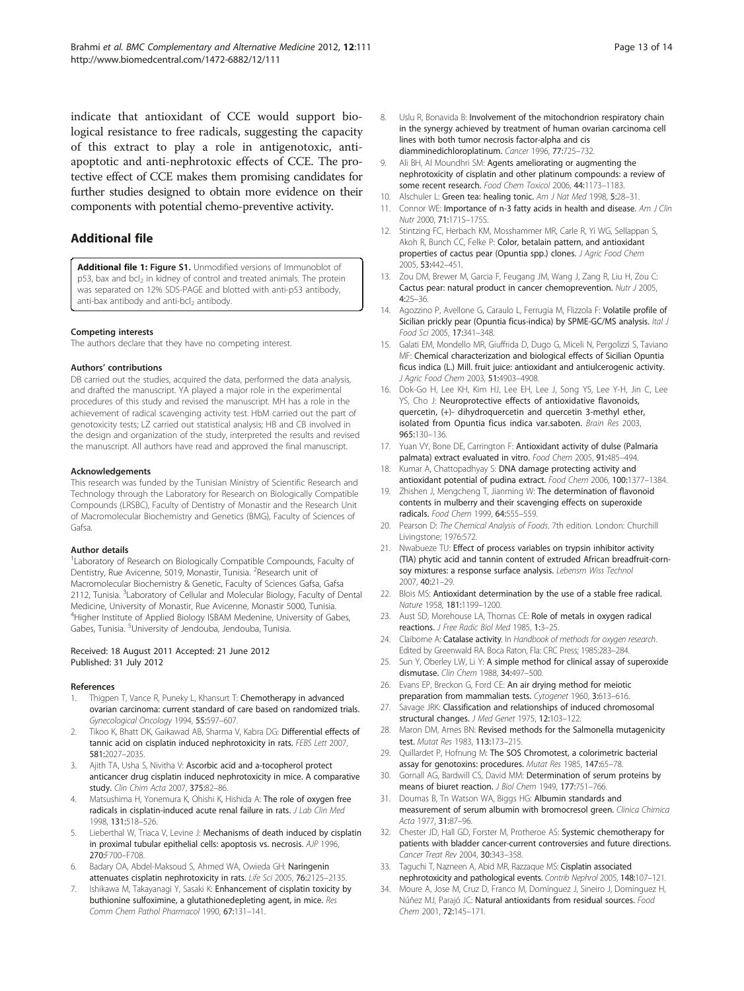<span id="page-12-0"></span>indicate that antioxidant of CCE would support biological resistance to free radicals, suggesting the capacity of this extract to play a role in antigenotoxic, antiapoptotic and anti-nephrotoxic effects of CCE. The protective effect of CCE makes them promising candidates for further studies designed to obtain more evidence on their components with potential chemo-preventive activity.

# Additional file

[Additional file 1:](http://www.biomedcentral.com/content/supplementary/1472-6882-12-111-S1.pdf) Figure S1. Unmodified versions of Immunoblot of p53, bax and bcl<sub>2</sub> in kidney of control and treated animals. The protein was separated on 12% SDS-PAGE and blotted with anti-p53 antibody, anti-bax antibody and anti-bcl<sub>2</sub> antibody.

#### Competing interests

The authors declare that they have no competing interest.

#### Authors' contributions

DB carried out the studies, acquired the data, performed the data analysis, and drafted the manuscript. YA played a major role in the experimental procedures of this study and revised the manuscript. MH has a role in the achievement of radical scavenging activity test. HbM carried out the part of genotoxicity tests; LZ carried out statistical analysis; HB and CB involved in the design and organization of the study, interpreted the results and revised the manuscript. All authors have read and approved the final manuscript.

#### Acknowledgements

This research was funded by the Tunisian Ministry of Scientific Research and Technology through the Laboratory for Research on Biologically Compatible Compounds (LRSBC), Faculty of Dentistry of Monastir and the Research Unit of Macromolecular Biochemistry and Genetics (BMG), Faculty of Sciences of Gafsa.

#### Author details

<sup>1</sup> Laboratory of Research on Biologically Compatible Compounds, Faculty of Dentistry, Rue Avicenne, 5019, Monastir, Tunisia. <sup>2</sup>Research unit of Macromolecular Biochemistry & Genetic, Faculty of Sciences Gafsa, Gafsa 2112, Tunisia. <sup>3</sup>Laboratory of Cellular and Molecular Biology, Faculty of Dental Medicine, University of Monastir, Rue Avicenne, Monastir 5000, Tunisia. <sup>4</sup>Higher Institute of Applied Biology ISBAM Medenine, University of Gabes, Gabes, Tunisia. <sup>5</sup>University of Jendouba, Jendouba, Tunisia.

#### Received: 18 August 2011 Accepted: 21 June 2012 Published: 31 July 2012

#### References

- Thigpen T, Vance R, Puneky L, Khansurt T: Chemotherapy in advanced ovarian carcinoma: current standard of care based on randomized trials. Gynecological Oncology 1994, 55:597–607.
- Tikoo K, Bhatt DK, Gaikawad AB, Sharma V, Kabra DG: Differential effects of tannic acid on cisplatin induced nephrotoxicity in rats. FEBS Lett 2007, 581:2027–2035.
- Ajith TA, Usha S, Nivitha V: Ascorbic acid and a-tocopherol protect anticancer drug cisplatin induced nephrotoxicity in mice. A comparative study. Clin Chim Acta 2007, 375:82-86.
- 4. Matsushima H, Yonemura K, Ohishi K, Hishida A: The role of oxygen free radicals in cisplatin-induced acute renal failure in rats. J Lab Clin Med 1998, 131:518–526.
- 5. Lieberthal W, Triaca V, Levine J: Mechanisms of death induced by cisplatin in proximal tubular epithelial cells: apoptosis vs. necrosis. AJP 1996, 270:F700–F708.
- 6. Badary OA, Abdel-Maksoud S, Ahmed WA, Owieda GH: Naringenin attenuates cisplatin nephrotoxicity in rats. Life Sci 2005, 76:2125–2135.
- 7. Ishikawa M, Takayanagi Y, Sasaki K: Enhancement of cisplatin toxicity by buthionine sulfoximine, a glutathionedepleting agent, in mice. Res Comm Chem Pathol Pharmacol 1990, 67:131–141.
- 8. Uslu R, Bonavida B: Involvement of the mitochondrion respiratory chain in the synergy achieved by treatment of human ovarian carcinoma cell lines with both tumor necrosis factor-alpha and cis diamminedichloroplatinum. Cancer 1996, 77:725–732.
- 9. Ali BH, Al Moundhri SM: Agents ameliorating or augmenting the nephrotoxicity of cisplatin and other platinum compounds: a review of some recent research. Food Chem Toxicol 2006, 44:1173-1183.
- 10. Alschuler L: Green tea: healing tonic. Am J Nat Med 1998, 5:28-31.
- 11. Connor WE: Importance of n-3 fatty acids in health and disease. Am J Clin Nutr 2000, 71:171S–175S.
- 12. Stintzing FC, Herbach KM, Mosshammer MR, Carle R, Yi WG, Sellappan S, Akoh R, Bunch CC, Felke P: Color, betalain pattern, and antioxidant properties of cactus pear (Opuntia spp.) clones. J Agric Food Chem 2005, 53:442–451.
- 13. Zou DM, Brewer M, Garcia F, Feugang JM, Wang J, Zang R, Liu H, Zou C: Cactus pear: natural product in cancer chemoprevention. Nutr J 2005, 4:25–36.
- 14. Agozzino P, Avellone G, Caraulo L, Ferrugia M, Flizzola F: Volatile profile of Sicilian prickly pear (Opuntia ficus-indica) by SPME-GC/MS analysis. Ital J Food Sci 2005, 17:341–348.
- 15. Galati EM, Mondello MR, Giuffrida D, Dugo G, Miceli N, Pergolizzi S, Taviano MF: Chemical characterization and biological effects of Sicilian Opuntia ficus indica (L.) Mill. fruit juice: antioxidant and antiulcerogenic activity. J Agric Food Chem 2003, 51:4903–4908.
- 16. Dok-Go H, Lee KH, Kim HJ, Lee EH, Lee J, Song YS, Lee Y-H, Jin C, Lee YS, Cho J: Neuroprotective effects of antioxidative flavonoids, quercetin, (+)- dihydroquercetin and quercetin 3-methyl ether, isolated from Opuntia ficus indica var.saboten. Brain Res 2003, 965:130–136.
- 17. Yuan W, Bone DE, Carrington F: Antioxidant activity of dulse (Palmaria palmata) extract evaluated in vitro. Food Chem 2005, 91:485–494.
- 18. Kumar A, Chattopadhyay S: DNA damage protecting activity and antioxidant potential of pudina extract. Food Chem 2006, 100:1377–1384.
- 19. Zhishen J, Mengcheng T, Jianming W: The determination of flavonoid contents in mulberry and their scavenging effects on superoxide radicals. Food Chem 1999, 64:555–559.
- 20. Pearson D: The Chemical Analysis of Foods. 7th edition. London: Churchill Livingstone; 1976:572.
- 21. Nwabueze TU: Effect of process variables on trypsin inhibitor activity (TIA) phytic acid and tannin content of extruded African breadfruit-cornsoy mixtures: a response surface analysis. Lebensm Wiss Technol 2007, 40:21–29.
- 22. Blois MS: Antioxidant determination by the use of a stable free radical. Nature 1958, 181:1199–1200.
- 23. Aust SD, Morehouse LA, Thomas CE: Role of metals in oxygen radical reactions. J Free Radic Biol Med 1985, 1:3–25.
- 24. Claiborne A: Catalase activity. In Handbook of methods for oxygen research. Edited by Greenwald RA. Boca Raton, Fla: CRC Press; 1985:283–284.
- 25. Sun Y, Oberley LW, Li Y: A simple method for clinical assay of superoxide dismutase. Clin Chem 1988, 34:497–500.
- 26. Evans EP, Breckon G, Ford CE: An air drying method for meiotic preparation from mammalian tests. Cytogenet 1960, 3:613–616.
- 27. Savage JRK: Classification and relationships of induced chromosomal structural changes. J Med Genet 1975, 12:103–122.
- 28. Maron DM, Ames BN: Revised methods for the Salmonella mutagenicity test. Mutat Res 1983, 113:173–215.
- 29. Quillardet P, Hofnung M: The SOS Chromotest, a colorimetric bacterial assay for genotoxins: procedures. Mutat Res 1985, 147:65–78.
- 30. Gornall AG, Bardwill CS, David MM: Determination of serum proteins by means of biuret reaction. J Biol Chem 1949, 177:751-766.
- 31. Doumas B, Tn Watson WA, Biggs HG: Albumin standards and measurement of serum albumin with bromocresol green. Clinica Chimica Acta 1977, 31:87–96.
- 32. Chester JD, Hall GD, Forster M, Protheroe AS: Systemic chemotherapy for patients with bladder cancer-current controversies and future directions. Cancer Treat Rev 2004, 30:343-358.
- 33. Taguchi T, Nazneen A, Abid MR, Razzaque MS: Cisplatin associated nephrotoxicity and pathological events. Contrib Nephrol 2005, 148:107–121.
- 34. Moure A, Jose M, Cruz D, Franco M, Domínguez J, Sineiro J, Domínguez H, Núñez MJ, Parajó JC: Natural antioxidants from residual sources. Food Chem 2001, 72:145–171.